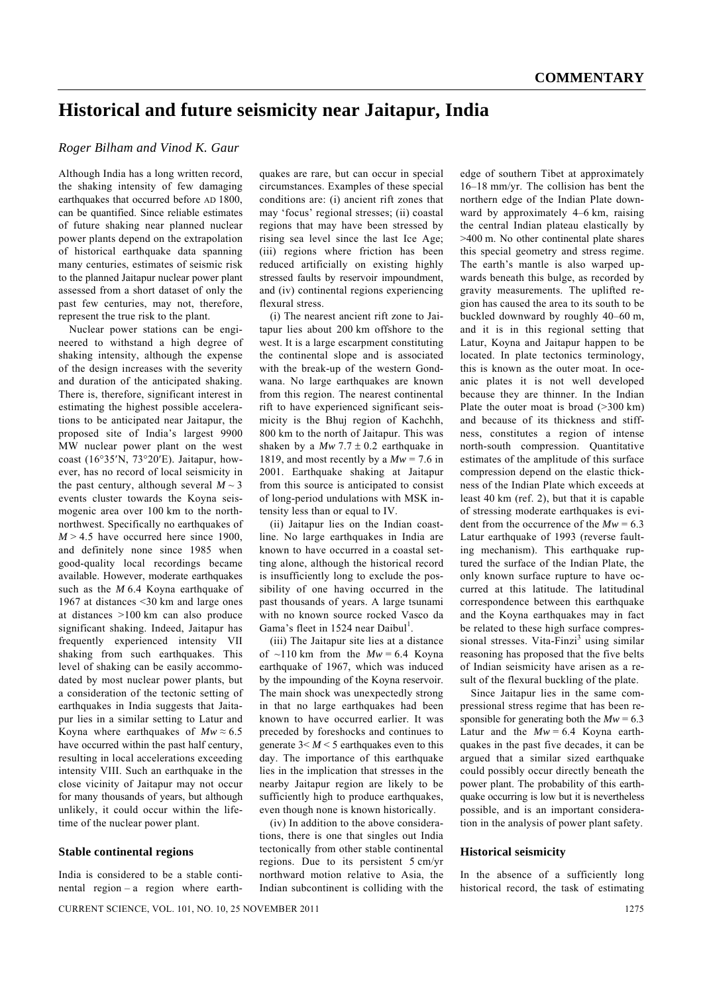# **Historical and future seismicity near Jaitapur, India**

# *Roger Bilham and Vinod K. Gaur*

Although India has a long written record, the shaking intensity of few damaging earthquakes that occurred before AD 1800. can be quantified. Since reliable estimates of future shaking near planned nuclear power plants depend on the extrapolation of historical earthquake data spanning many centuries, estimates of seismic risk to the planned Jaitapur nuclear power plant assessed from a short dataset of only the past few centuries, may not, therefore, represent the true risk to the plant.

 Nuclear power stations can be engineered to withstand a high degree of shaking intensity, although the expense of the design increases with the severity and duration of the anticipated shaking. There is, therefore, significant interest in estimating the highest possible accelerations to be anticipated near Jaitapur, the proposed site of India's largest 9900 MW nuclear power plant on the west coast (16°35′N, 73°20′E). Jaitapur, however, has no record of local seismicity in the past century, although several  $M \sim 3$ events cluster towards the Koyna seismogenic area over 100 km to the northnorthwest. Specifically no earthquakes of  $M > 4.5$  have occurred here since 1900, and definitely none since 1985 when good-quality local recordings became available. However, moderate earthquakes such as the *M* 6.4 Koyna earthquake of 1967 at distances <30 km and large ones at distances >100 km can also produce significant shaking. Indeed, Jaitapur has frequently experienced intensity VII shaking from such earthquakes. This level of shaking can be easily accommodated by most nuclear power plants, but a consideration of the tectonic setting of earthquakes in India suggests that Jaitapur lies in a similar setting to Latur and Koyna where earthquakes of  $Mw \approx 6.5$ have occurred within the past half century, resulting in local accelerations exceeding intensity VIII. Such an earthquake in the close vicinity of Jaitapur may not occur for many thousands of years, but although unlikely, it could occur within the lifetime of the nuclear power plant.

### **Stable continental regions**

India is considered to be a stable continental region – a region where earthquakes are rare, but can occur in special circumstances. Examples of these special conditions are: (i) ancient rift zones that may 'focus' regional stresses; (ii) coastal regions that may have been stressed by rising sea level since the last Ice Age; (iii) regions where friction has been reduced artificially on existing highly stressed faults by reservoir impoundment, and (iv) continental regions experiencing flexural stress.

 (i) The nearest ancient rift zone to Jaitapur lies about 200 km offshore to the west. It is a large escarpment constituting the continental slope and is associated with the break-up of the western Gondwana. No large earthquakes are known from this region. The nearest continental rift to have experienced significant seismicity is the Bhuj region of Kachchh, 800 km to the north of Jaitapur. This was shaken by a  $Mw$  7.7  $\pm$  0.2 earthquake in 1819, and most recently by a  $Mw = 7.6$  in 2001. Earthquake shaking at Jaitapur from this source is anticipated to consist of long-period undulations with MSK intensity less than or equal to IV.

 (ii) Jaitapur lies on the Indian coastline. No large earthquakes in India are known to have occurred in a coastal setting alone, although the historical record is insufficiently long to exclude the possibility of one having occurred in the past thousands of years. A large tsunami with no known source rocked Vasco da Gama's fleet in 1524 near Daibul<sup>1</sup>.

 (iii) The Jaitapur site lies at a distance of  $\sim$ 110 km from the  $Mw = 6.4$  Koyna earthquake of 1967, which was induced by the impounding of the Koyna reservoir. The main shock was unexpectedly strong in that no large earthquakes had been known to have occurred earlier. It was preceded by foreshocks and continues to generate  $3 < M < 5$  earthquakes even to this day. The importance of this earthquake lies in the implication that stresses in the nearby Jaitapur region are likely to be sufficiently high to produce earthquakes, even though none is known historically.

 (iv) In addition to the above considerations, there is one that singles out India tectonically from other stable continental regions. Due to its persistent 5 cm/yr northward motion relative to Asia, the Indian subcontinent is colliding with the edge of southern Tibet at approximately 16–18 mm/yr. The collision has bent the northern edge of the Indian Plate downward by approximately 4–6 km, raising the central Indian plateau elastically by >400 m. No other continental plate shares this special geometry and stress regime. The earth's mantle is also warped upwards beneath this bulge, as recorded by gravity measurements. The uplifted region has caused the area to its south to be buckled downward by roughly 40–60 m, and it is in this regional setting that Latur, Koyna and Jaitapur happen to be located. In plate tectonics terminology, this is known as the outer moat. In oceanic plates it is not well developed because they are thinner. In the Indian Plate the outer moat is broad (>300 km) and because of its thickness and stiffness, constitutes a region of intense north-south compression. Quantitative estimates of the amplitude of this surface compression depend on the elastic thickness of the Indian Plate which exceeds at least 40 km (ref. 2), but that it is capable of stressing moderate earthquakes is evident from the occurrence of the  $Mw = 6.3$ Latur earthquake of 1993 (reverse faulting mechanism). This earthquake ruptured the surface of the Indian Plate, the only known surface rupture to have occurred at this latitude. The latitudinal correspondence between this earthquake and the Koyna earthquakes may in fact be related to these high surface compressional stresses. Vita-Finzi<sup>3</sup> using similar reasoning has proposed that the five belts of Indian seismicity have arisen as a result of the flexural buckling of the plate.

 Since Jaitapur lies in the same compressional stress regime that has been responsible for generating both the  $Mw = 6.3$ Latur and the  $Mw = 6.4$  Koyna earthquakes in the past five decades, it can be argued that a similar sized earthquake could possibly occur directly beneath the power plant. The probability of this earthquake occurring is low but it is nevertheless possible, and is an important consideration in the analysis of power plant safety.

#### **Historical seismicity**

In the absence of a sufficiently long historical record, the task of estimating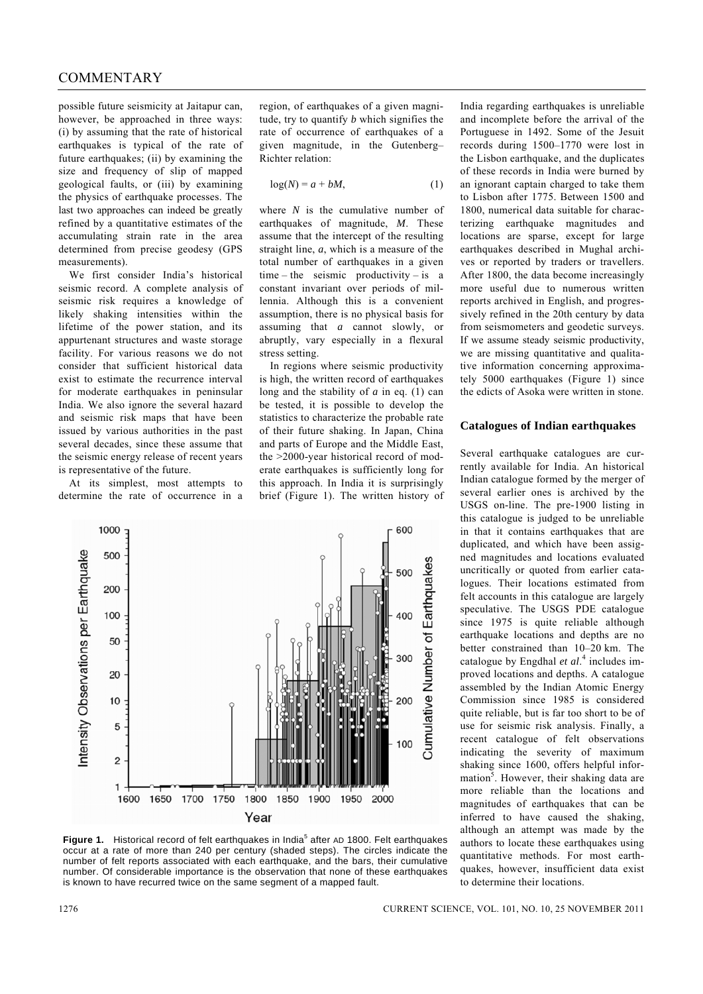# COMMENTARY

possible future seismicity at Jaitapur can, however, be approached in three ways: (i) by assuming that the rate of historical earthquakes is typical of the rate of future earthquakes; (ii) by examining the size and frequency of slip of mapped geological faults, or (iii) by examining the physics of earthquake processes. The last two approaches can indeed be greatly refined by a quantitative estimates of the accumulating strain rate in the area determined from precise geodesy (GPS measurements).

 We first consider India's historical seismic record. A complete analysis of seismic risk requires a knowledge of likely shaking intensities within the lifetime of the power station, and its appurtenant structures and waste storage facility. For various reasons we do not consider that sufficient historical data exist to estimate the recurrence interval for moderate earthquakes in peninsular India. We also ignore the several hazard and seismic risk maps that have been issued by various authorities in the past several decades, since these assume that the seismic energy release of recent years is representative of the future.

 At its simplest, most attempts to determine the rate of occurrence in a

region, of earthquakes of a given magnitude, try to quantify *b* which signifies the rate of occurrence of earthquakes of a given magnitude, in the Gutenberg– Richter relation:

$$
log(N) = a + bM,
$$
 (1)

where *N* is the cumulative number of earthquakes of magnitude, *M*. These assume that the intercept of the resulting straight line, *a*, which is a measure of the total number of earthquakes in a given time – the seismic productivity – is a constant invariant over periods of millennia. Although this is a convenient assumption, there is no physical basis for assuming that *a* cannot slowly, or abruptly, vary especially in a flexural stress setting.

 In regions where seismic productivity is high, the written record of earthquakes long and the stability of *a* in eq. (1) can be tested, it is possible to develop the statistics to characterize the probable rate of their future shaking. In Japan, China and parts of Europe and the Middle East, the >2000-year historical record of moderate earthquakes is sufficiently long for this approach. In India it is surprisingly brief (Figure 1). The written history of India regarding earthquakes is unreliable and incomplete before the arrival of the Portuguese in 1492. Some of the Jesuit records during 1500–1770 were lost in the Lisbon earthquake, and the duplicates of these records in India were burned by an ignorant captain charged to take them to Lisbon after 1775. Between 1500 and 1800, numerical data suitable for characterizing earthquake magnitudes and locations are sparse, except for large earthquakes described in Mughal archives or reported by traders or travellers. After 1800, the data become increasingly more useful due to numerous written reports archived in English, and progressively refined in the 20th century by data from seismometers and geodetic surveys. If we assume steady seismic productivity, we are missing quantitative and qualitative information concerning approximately 5000 earthquakes (Figure 1) since the edicts of Asoka were written in stone.

### **Catalogues of Indian earthquakes**

Several earthquake catalogues are currently available for India. An historical Indian catalogue formed by the merger of several earlier ones is archived by the USGS on-line. The pre-1900 listing in this catalogue is judged to be unreliable in that it contains earthquakes that are duplicated, and which have been assigned magnitudes and locations evaluated uncritically or quoted from earlier catalogues. Their locations estimated from felt accounts in this catalogue are largely speculative. The USGS PDE catalogue since 1975 is quite reliable although earthquake locations and depths are no better constrained than 10–20 km. The catalogue by Engdhal *et al*. 4 includes improved locations and depths. A catalogue assembled by the Indian Atomic Energy Commission since 1985 is considered quite reliable, but is far too short to be of use for seismic risk analysis. Finally, a recent catalogue of felt observations indicating the severity of maximum shaking since 1600, offers helpful infor $m_{\text{at}}$ . However, their shaking data are more reliable than the locations and magnitudes of earthquakes that can be inferred to have caused the shaking, although an attempt was made by the authors to locate these earthquakes using quantitative methods. For most earthquakes, however, insufficient data exist to determine their locations.



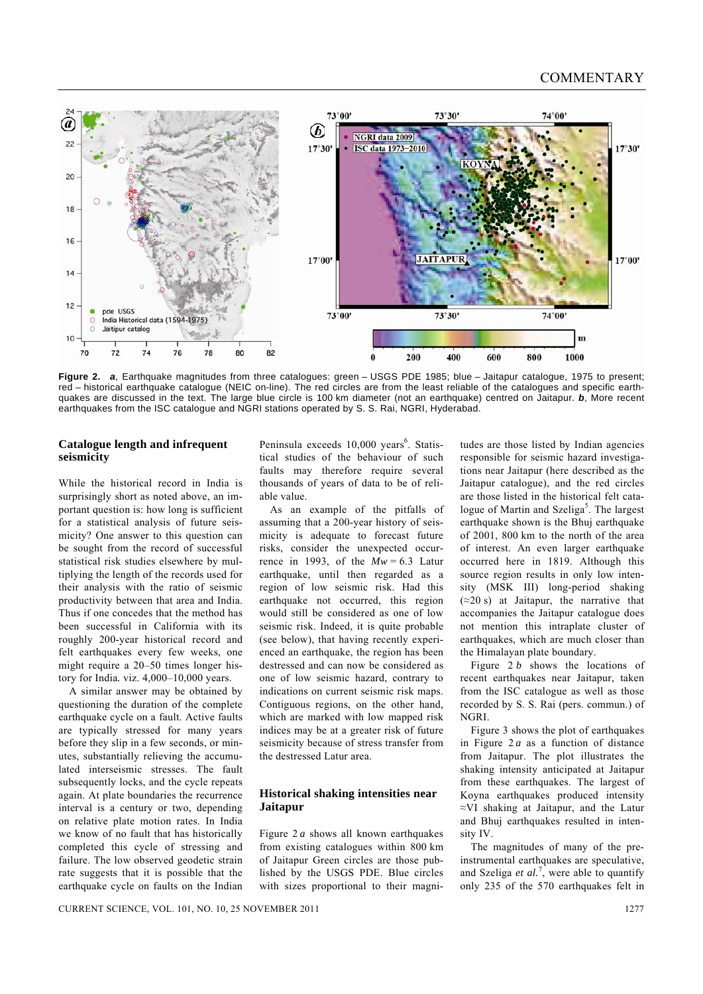

**Figure 2.** *a*, Earthquake magnitudes from three catalogues: green – USGS PDE 1985; blue – Jaitapur catalogue, 1975 to present; red – historical earthquake catalogue (NEIC on-line). The red circles are from the least reliable of the catalogues and specific earthquakes are discussed in the text. The large blue circle is 100 km diameter (not an earthquake) centred on Jaitapur. *b*, More recent earthquakes from the ISC catalogue and NGRI stations operated by S. S. Rai, NGRI, Hyderabad.

# **Catalogue length and infrequent seismicity**

While the historical record in India is surprisingly short as noted above, an important question is: how long is sufficient for a statistical analysis of future seismicity? One answer to this question can be sought from the record of successful statistical risk studies elsewhere by multiplying the length of the records used for their analysis with the ratio of seismic productivity between that area and India. Thus if one concedes that the method has been successful in California with its roughly 200-year historical record and felt earthquakes every few weeks, one might require a 20–50 times longer history for India*.* viz. 4,000–10,000 years.

 A similar answer may be obtained by questioning the duration of the complete earthquake cycle on a fault. Active faults are typically stressed for many years before they slip in a few seconds, or minutes, substantially relieving the accumulated interseismic stresses. The fault subsequently locks, and the cycle repeats again. At plate boundaries the recurrence interval is a century or two, depending on relative plate motion rates. In India we know of no fault that has historically completed this cycle of stressing and failure. The low observed geodetic strain rate suggests that it is possible that the earthquake cycle on faults on the Indian

Peninsula exceeds 10,000 years<sup>6</sup>. Statistical studies of the behaviour of such faults may therefore require several thousands of years of data to be of reliable value.

 As an example of the pitfalls of assuming that a 200-year history of seismicity is adequate to forecast future risks, consider the unexpected occurrence in 1993, of the  $Mw = 6.3$  Latur earthquake, until then regarded as a region of low seismic risk. Had this earthquake not occurred, this region would still be considered as one of low seismic risk. Indeed, it is quite probable (see below), that having recently experienced an earthquake, the region has been destressed and can now be considered as one of low seismic hazard, contrary to indications on current seismic risk maps. Contiguous regions, on the other hand, which are marked with low mapped risk indices may be at a greater risk of future seismicity because of stress transfer from the destressed Latur area.

# **Historical shaking intensities near Jaitapur**

Figure 2 *a* shows all known earthquakes from existing catalogues within 800 km of Jaitapur Green circles are those published by the USGS PDE. Blue circles with sizes proportional to their magnitudes are those listed by Indian agencies responsible for seismic hazard investigations near Jaitapur (here described as the Jaitapur catalogue), and the red circles are those listed in the historical felt catalogue of Martin and Szeliga<sup>5</sup>. The largest earthquake shown is the Bhuj earthquake of 2001, 800 km to the north of the area of interest. An even larger earthquake occurred here in 1819. Although this source region results in only low intensity (MSK III) long-period shaking  $(\approx 20 \text{ s})$  at Jaitapur, the narrative that accompanies the Jaitapur catalogue does not mention this intraplate cluster of earthquakes, which are much closer than the Himalayan plate boundary.

 Figure 2 *b* shows the locations of recent earthquakes near Jaitapur, taken from the ISC catalogue as well as those recorded by S. S. Rai (pers. commun.) of NGRI.

 Figure 3 shows the plot of earthquakes in Figure 2 *a* as a function of distance from Jaitapur. The plot illustrates the shaking intensity anticipated at Jaitapur from these earthquakes. The largest of Koyna earthquakes produced intensity ≈VI shaking at Jaitapur, and the Latur and Bhuj earthquakes resulted in intensity IV.

 The magnitudes of many of the preinstrumental earthquakes are speculative, and Szeliga *et al.*<sup>7</sup>, were able to quantify only 235 of the 570 earthquakes felt in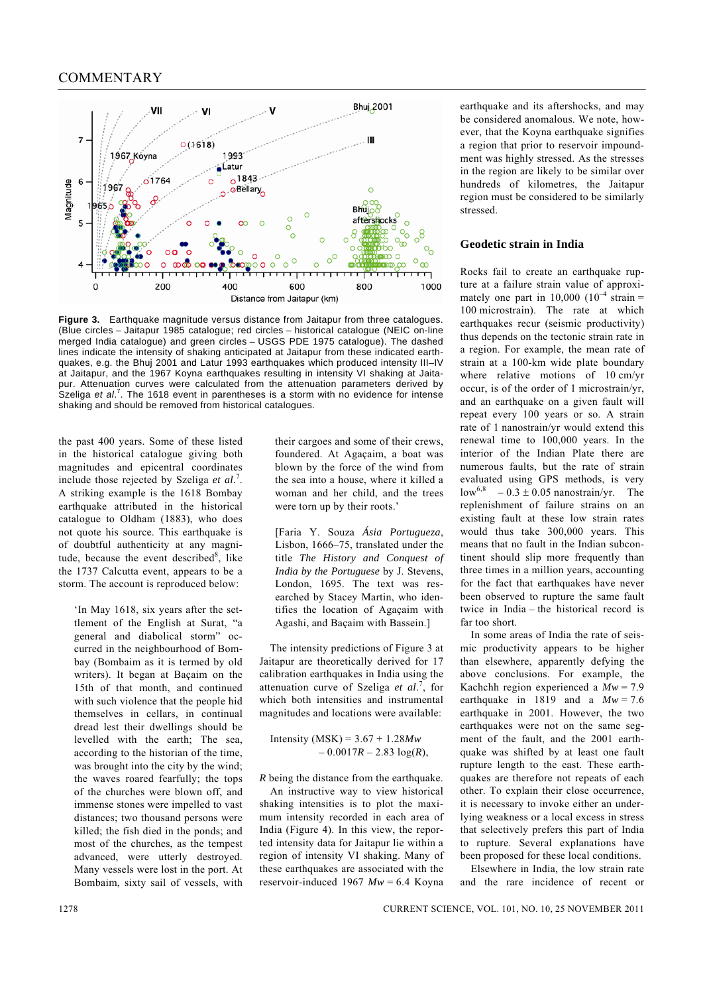

**Figure 3.** Earthquake magnitude versus distance from Jaitapur from three catalogues. (Blue circles – Jaitapur 1985 catalogue; red circles – historical catalogue (NEIC on-line merged India catalogue) and green circles – USGS PDE 1975 catalogue). The dashed lines indicate the intensity of shaking anticipated at Jaitapur from these indicated earthquakes, e.g. the Bhuj 2001 and Latur 1993 earthquakes which produced intensity III–IV at Jaitapur, and the 1967 Koyna earthquakes resulting in intensity VI shaking at Jaitapur. Attenuation curves were calculated from the attenuation parameters derived by .<br>Szeliga et al.<sup>7</sup>. The 1618 event in parentheses is a storm with no evidence for intense shaking and should be removed from historical catalogues.

the past 400 years. Some of these listed in the historical catalogue giving both magnitudes and epicentral coordinates include those rejected by Szeliga *et al*. 7 . A striking example is the 1618 Bombay earthquake attributed in the historical catalogue to Oldham (1883), who does not quote his source. This earthquake is of doubtful authenticity at any magnitude, because the event described $8$ , like the 1737 Calcutta event, appears to be a storm. The account is reproduced below:

'In May 1618, six years after the settlement of the English at Surat, "a general and diabolical storm" occurred in the neighbourhood of Bombay (Bombaim as it is termed by old writers). It began at Baçaim on the 15th of that month, and continued with such violence that the people hid themselves in cellars, in continual dread lest their dwellings should be levelled with the earth; The sea, according to the historian of the time, was brought into the city by the wind; the waves roared fearfully; the tops of the churches were blown off, and immense stones were impelled to vast distances; two thousand persons were killed; the fish died in the ponds; and most of the churches, as the tempest advanced, were utterly destroyed. Many vessels were lost in the port. At Bombaim, sixty sail of vessels, with their cargoes and some of their crews, foundered. At Agaçaim, a boat was blown by the force of the wind from the sea into a house, where it killed a woman and her child, and the trees were torn up by their roots.'

[Faria Y. Souza *Ásia Portugueza*, Lisbon, 1666–75, translated under the title *The History and Conquest of India by the Portuguese* by J. Stevens, London, 1695. The text was researched by Stacey Martin, who identifies the location of Agaçaim with Agashi, and Baçaim with Bassein.]

 The intensity predictions of Figure 3 at Jaitapur are theoretically derived for 17 calibration earthquakes in India using the attenuation curve of Szeliga *et al*. 7 , for which both intensities and instrumental magnitudes and locations were available:

 Intensity (MSK) = 3.67 + 1.28*Mw*   $-0.0017R - 2.83 \log(R)$ ,

*R* being the distance from the earthquake.

 An instructive way to view historical shaking intensities is to plot the maximum intensity recorded in each area of India (Figure 4). In this view, the reported intensity data for Jaitapur lie within a region of intensity VI shaking. Many of these earthquakes are associated with the reservoir-induced 1967 *Mw* = 6.4 Koyna earthquake and its aftershocks, and may be considered anomalous. We note, however, that the Koyna earthquake signifies a region that prior to reservoir impoundment was highly stressed. As the stresses in the region are likely to be similar over hundreds of kilometres, the Jaitapur region must be considered to be similarly stressed.

#### **Geodetic strain in India**

Rocks fail to create an earthquake rupture at a failure strain value of approximately one part in  $10,000$   $(10^{-4} \text{ strain} =$ 100 microstrain). The rate at which earthquakes recur (seismic productivity) thus depends on the tectonic strain rate in a region. For example, the mean rate of strain at a 100-km wide plate boundary where relative motions of 10 cm/yr occur, is of the order of 1 microstrain/yr, and an earthquake on a given fault will repeat every 100 years or so. A strain rate of 1 nanostrain/yr would extend this renewal time to 100,000 years. In the interior of the Indian Plate there are numerous faults, but the rate of strain evaluated using GPS methods, is very low<sup>6,8</sup> – 0.3  $\pm$  0.05 nanostrain/yr. The replenishment of failure strains on an existing fault at these low strain rates would thus take 300,000 years. This means that no fault in the Indian subcontinent should slip more frequently than three times in a million years, accounting for the fact that earthquakes have never been observed to rupture the same fault twice in India – the historical record is far too short.

 In some areas of India the rate of seismic productivity appears to be higher than elsewhere, apparently defying the above conclusions. For example, the Kachchh region experienced a *Mw* = 7.9 earthquake in 1819 and a  $Mw = 7.6$ earthquake in 2001. However, the two earthquakes were not on the same segment of the fault, and the 2001 earthquake was shifted by at least one fault rupture length to the east. These earthquakes are therefore not repeats of each other. To explain their close occurrence, it is necessary to invoke either an underlying weakness or a local excess in stress that selectively prefers this part of India to rupture. Several explanations have been proposed for these local conditions.

 Elsewhere in India, the low strain rate and the rare incidence of recent or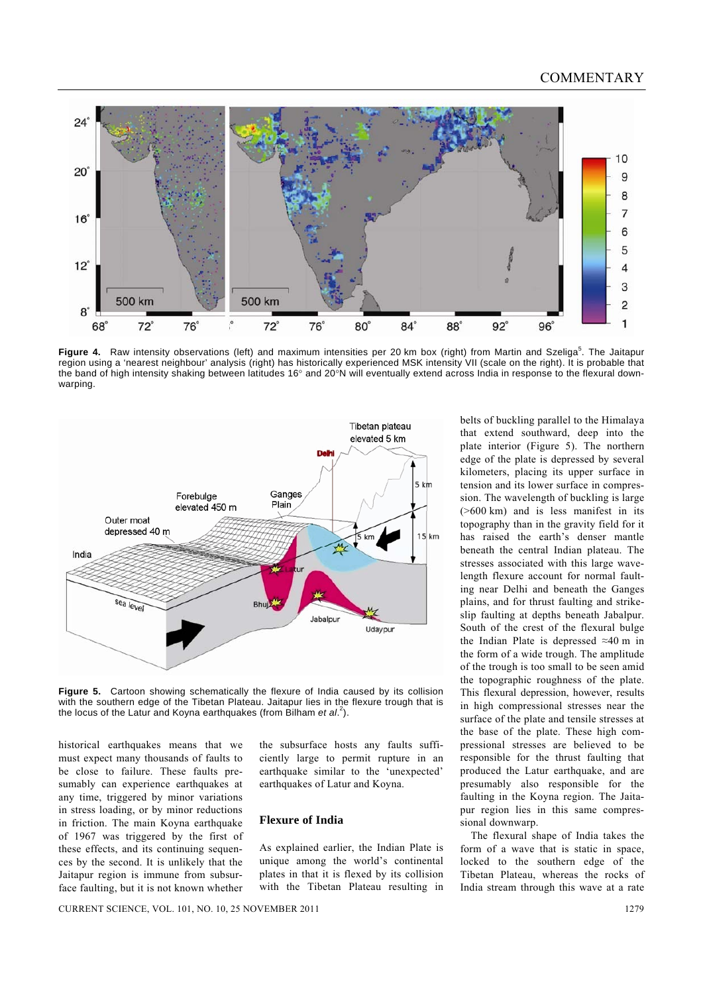# **COMMENTARY**



Figure 4. Raw intensity observations (left) and maximum intensities per 20 km box (right) from Martin and Szeliga<sup>5</sup>. The Jaitapur region using a 'nearest neighbour' analysis (right) has historically experienced MSK intensity VII (scale on the right). It is probable that the band of high intensity shaking between latitudes 16° and 20°N will eventually extend across India in response to the flexural downwarping.



**Figure 5.** Cartoon showing schematically the flexure of India caused by its collision with the southern edge of the Tibetan Plateau. Jaitapur lies in the flexure trough that is the locus of the Latur and Koyna earthquakes (from Bilham *et al*. 2 ).

historical earthquakes means that we must expect many thousands of faults to be close to failure. These faults presumably can experience earthquakes at any time, triggered by minor variations in stress loading, or by minor reductions in friction. The main Koyna earthquake of 1967 was triggered by the first of these effects, and its continuing sequences by the second. It is unlikely that the Jaitapur region is immune from subsurface faulting, but it is not known whether the subsurface hosts any faults sufficiently large to permit rupture in an earthquake similar to the 'unexpected' earthquakes of Latur and Koyna.

# **Flexure of India**

As explained earlier, the Indian Plate is unique among the world's continental plates in that it is flexed by its collision with the Tibetan Plateau resulting in belts of buckling parallel to the Himalaya that extend southward, deep into the plate interior (Figure 5). The northern edge of the plate is depressed by several kilometers, placing its upper surface in tension and its lower surface in compression. The wavelength of buckling is large (>600 km) and is less manifest in its topography than in the gravity field for it has raised the earth's denser mantle beneath the central Indian plateau. The stresses associated with this large wavelength flexure account for normal faulting near Delhi and beneath the Ganges plains, and for thrust faulting and strikeslip faulting at depths beneath Jabalpur. South of the crest of the flexural bulge the Indian Plate is depressed ≈40 m in the form of a wide trough. The amplitude of the trough is too small to be seen amid the topographic roughness of the plate. This flexural depression, however, results in high compressional stresses near the surface of the plate and tensile stresses at the base of the plate. These high compressional stresses are believed to be responsible for the thrust faulting that produced the Latur earthquake, and are presumably also responsible for the faulting in the Koyna region. The Jaitapur region lies in this same compressional downwarp.

 The flexural shape of India takes the form of a wave that is static in space, locked to the southern edge of the Tibetan Plateau, whereas the rocks of India stream through this wave at a rate

CURRENT SCIENCE, VOL. 101, NO. 10, 25 NOVEMBER 2011 1279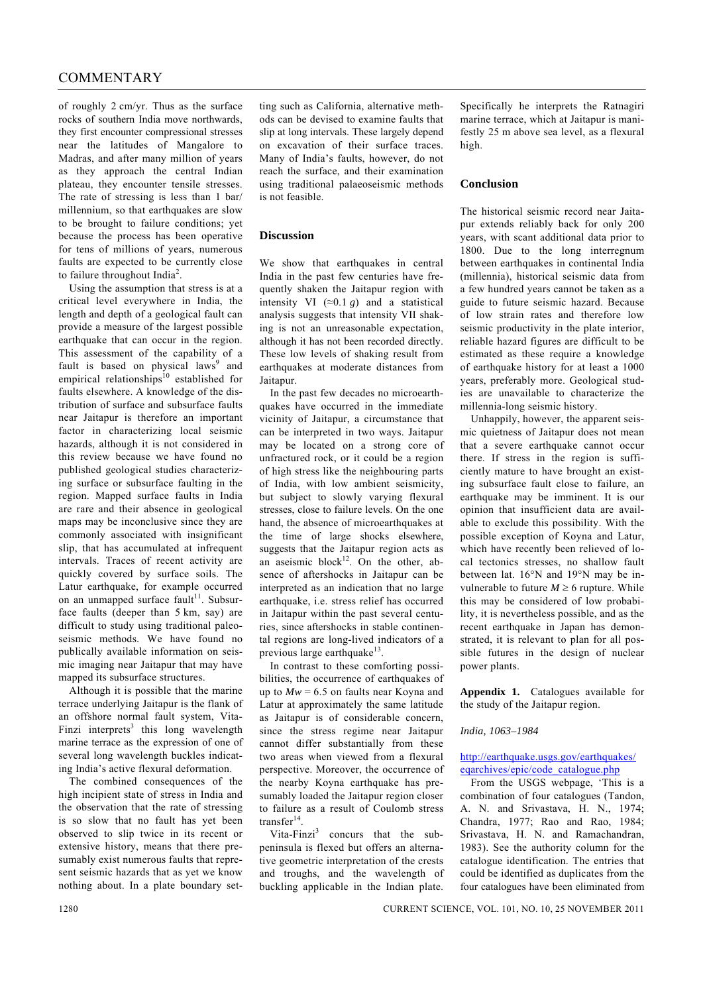# COMMENTARY

of roughly 2 cm/yr. Thus as the surface rocks of southern India move northwards, they first encounter compressional stresses near the latitudes of Mangalore to Madras, and after many million of years as they approach the central Indian plateau, they encounter tensile stresses. The rate of stressing is less than 1 bar/ millennium, so that earthquakes are slow to be brought to failure conditions; yet because the process has been operative for tens of millions of years, numerous faults are expected to be currently close to failure throughout India<sup>2</sup>.

 Using the assumption that stress is at a critical level everywhere in India, the length and depth of a geological fault can provide a measure of the largest possible earthquake that can occur in the region. This assessment of the capability of a fault is based on physical laws<sup>9</sup> and empirical relationships<sup>10</sup> established for faults elsewhere. A knowledge of the distribution of surface and subsurface faults near Jaitapur is therefore an important factor in characterizing local seismic hazards, although it is not considered in this review because we have found no published geological studies characterizing surface or subsurface faulting in the region. Mapped surface faults in India are rare and their absence in geological maps may be inconclusive since they are commonly associated with insignificant slip, that has accumulated at infrequent intervals. Traces of recent activity are quickly covered by surface soils. The Latur earthquake, for example occurred on an unmapped surface fault<sup>11</sup>. Subsurface faults (deeper than 5 km, say) are difficult to study using traditional paleoseismic methods. We have found no publically available information on seismic imaging near Jaitapur that may have mapped its subsurface structures.

 Although it is possible that the marine terrace underlying Jaitapur is the flank of an offshore normal fault system, Vita-Finzi interprets<sup>3</sup> this long wavelength marine terrace as the expression of one of several long wavelength buckles indicating India's active flexural deformation.

 The combined consequences of the high incipient state of stress in India and the observation that the rate of stressing is so slow that no fault has yet been observed to slip twice in its recent or extensive history, means that there presumably exist numerous faults that represent seismic hazards that as yet we know nothing about. In a plate boundary set-

ting such as California, alternative methods can be devised to examine faults that slip at long intervals. These largely depend on excavation of their surface traces. Many of India's faults, however, do not reach the surface, and their examination using traditional palaeoseismic methods is not feasible.

## **Discussion**

We show that earthquakes in central India in the past few centuries have frequently shaken the Jaitapur region with intensity VI  $(\approx 0.1 \text{ g})$  and a statistical analysis suggests that intensity VII shaking is not an unreasonable expectation, although it has not been recorded directly. These low levels of shaking result from earthquakes at moderate distances from Jaitapur.

 In the past few decades no microearthquakes have occurred in the immediate vicinity of Jaitapur, a circumstance that can be interpreted in two ways. Jaitapur may be located on a strong core of unfractured rock, or it could be a region of high stress like the neighbouring parts of India, with low ambient seismicity, but subject to slowly varying flexural stresses, close to failure levels. On the one hand, the absence of microearthquakes at the time of large shocks elsewhere, suggests that the Jaitapur region acts as an aseismic block<sup>12</sup>. On the other, absence of aftershocks in Jaitapur can be interpreted as an indication that no large earthquake, i.e. stress relief has occurred in Jaitapur within the past several centuries, since aftershocks in stable continental regions are long-lived indicators of a previous large earthquake $13$ .

 In contrast to these comforting possibilities, the occurrence of earthquakes of up to  $Mw = 6.5$  on faults near Koyna and Latur at approximately the same latitude as Jaitapur is of considerable concern, since the stress regime near Jaitapur cannot differ substantially from these two areas when viewed from a flexural perspective. Moreover, the occurrence of the nearby Koyna earthquake has presumably loaded the Jaitapur region closer to failure as a result of Coulomb stress transfer $14$ 

Vita-Finzi<sup>3</sup> concurs that the subpeninsula is flexed but offers an alternative geometric interpretation of the crests and troughs, and the wavelength of buckling applicable in the Indian plate.

Specifically he interprets the Ratnagiri marine terrace, which at Jaitapur is manifestly 25 m above sea level, as a flexural high.

### **Conclusion**

The historical seismic record near Jaitapur extends reliably back for only 200 years, with scant additional data prior to 1800. Due to the long interregnum between earthquakes in continental India (millennia), historical seismic data from a few hundred years cannot be taken as a guide to future seismic hazard. Because of low strain rates and therefore low seismic productivity in the plate interior, reliable hazard figures are difficult to be estimated as these require a knowledge of earthquake history for at least a 1000 years, preferably more. Geological studies are unavailable to characterize the millennia-long seismic history.

 Unhappily, however, the apparent seismic quietness of Jaitapur does not mean that a severe earthquake cannot occur there. If stress in the region is sufficiently mature to have brought an existing subsurface fault close to failure, an earthquake may be imminent. It is our opinion that insufficient data are available to exclude this possibility. With the possible exception of Koyna and Latur, which have recently been relieved of local tectonics stresses, no shallow fault between lat. 16°N and 19°N may be invulnerable to future  $M \ge 6$  rupture. While this may be considered of low probability, it is nevertheless possible, and as the recent earthquake in Japan has demonstrated, it is relevant to plan for all possible futures in the design of nuclear power plants.

**Appendix 1.** Catalogues available for the study of the Jaitapur region.

### *India, 1063–1984*

## http://earthquake.usgs.gov/earthquakes/ eqarchives/epic/code\_catalogue.php

 From the USGS webpage, 'This is a combination of four catalogues (Tandon, A. N. and Srivastava, H. N., 1974; Chandra, 1977; Rao and Rao, 1984; Srivastava, H. N. and Ramachandran, 1983). See the authority column for the catalogue identification. The entries that could be identified as duplicates from the four catalogues have been eliminated from